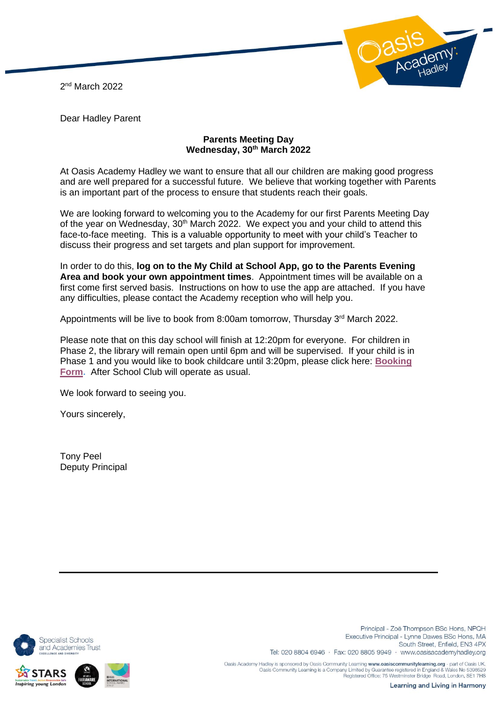2 nd March 2022



Dear Hadley Parent

## **Parents Meeting Day Wednesday, 30th March 2022**

At Oasis Academy Hadley we want to ensure that all our children are making good progress and are well prepared for a successful future. We believe that working together with Parents is an important part of the process to ensure that students reach their goals.

We are looking forward to welcoming you to the Academy for our first Parents Meeting Day of the year on Wednesday, 30<sup>th</sup> March 2022. We expect you and your child to attend this face-to-face meeting. This is a valuable opportunity to meet with your child's Teacher to discuss their progress and set targets and plan support for improvement.

In order to do this, **log on to the My Child at School App, go to the Parents Evening Area and book your own appointment times**. Appointment times will be available on a first come first served basis. Instructions on how to use the app are attached. If you have any difficulties, please contact the Academy reception who will help you.

Appointments will be live to book from 8:00am tomorrow, Thursday 3rd March 2022.

Please note that on this day school will finish at 12:20pm for everyone. For children in Phase 2, the library will remain open until 6pm and will be supervised. If your child is in Phase 1 and you would like to book childcare until 3:20pm, please click here: **[Booking](https://forms.office.com/r/0ZaagA7eAA)  [Form.](https://forms.office.com/r/0ZaagA7eAA)** After School Club will operate as usual.

We look forward to seeing you.

Yours sincerely,

Tony Peel Deputy Principal



g young Londo

Principal - Zoë Thompson BSc Hons, NPQH Executive Principal - Lynne Dawes BSc Hons, MA South Street, Enfield, EN3 4PX Tel: 020 8804 6946 · Fax: 020 8805 9949 · www.oasisacademyhadley.org

Oasis Academy Hadley is sponsored by Oasis Community Learning www.oasiscommunitylearning.org - part of Oasis UK. Oasis Community Learning is a Company Limited by Guarantee registered in England & Wales No 5398529<br>Registered Office: 75 Westminster Bridge Road, London, SE1 7HS